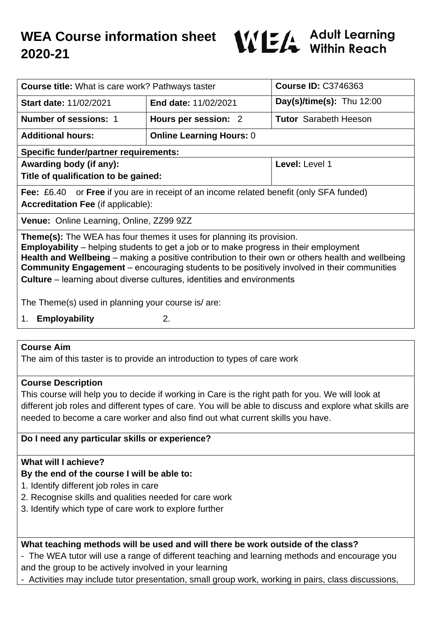

| <b>Course title:</b> What is care work? Pathways taster                                                                                                                                                                                                                                                                                                                                                                                                          |                                 | <b>Course ID: C3746363</b>   |
|------------------------------------------------------------------------------------------------------------------------------------------------------------------------------------------------------------------------------------------------------------------------------------------------------------------------------------------------------------------------------------------------------------------------------------------------------------------|---------------------------------|------------------------------|
| <b>Start date: 11/02/2021</b>                                                                                                                                                                                                                                                                                                                                                                                                                                    | <b>End date: 11/02/2021</b>     | Day(s)/time(s): Thu $12:00$  |
| <b>Number of sessions: 1</b>                                                                                                                                                                                                                                                                                                                                                                                                                                     | Hours per session: 2            | <b>Tutor</b> Sarabeth Heeson |
| <b>Additional hours:</b>                                                                                                                                                                                                                                                                                                                                                                                                                                         | <b>Online Learning Hours: 0</b> |                              |
| <b>Specific funder/partner requirements:</b>                                                                                                                                                                                                                                                                                                                                                                                                                     |                                 |                              |
| Awarding body (if any):                                                                                                                                                                                                                                                                                                                                                                                                                                          |                                 | Level: Level 1               |
| Title of qualification to be gained:                                                                                                                                                                                                                                                                                                                                                                                                                             |                                 |                              |
| <b>Fee:</b> £6.40 or <b>Free</b> if you are in receipt of an income related benefit (only SFA funded)                                                                                                                                                                                                                                                                                                                                                            |                                 |                              |
| <b>Accreditation Fee (if applicable):</b>                                                                                                                                                                                                                                                                                                                                                                                                                        |                                 |                              |
| <b>Venue:</b> Online Learning, Online, ZZ99 9ZZ                                                                                                                                                                                                                                                                                                                                                                                                                  |                                 |                              |
| Theme(s): The WEA has four themes it uses for planning its provision.<br><b>Employability</b> – helping students to get a job or to make progress in their employment<br>Health and Wellbeing – making a positive contribution to their own or others health and wellbeing<br><b>Community Engagement</b> – encouraging students to be positively involved in their communities<br><b>Culture</b> – learning about diverse cultures, identities and environments |                                 |                              |
| The Theme(s) used in planning your course is/ are:                                                                                                                                                                                                                                                                                                                                                                                                               |                                 |                              |
| <b>Employability</b><br>1.                                                                                                                                                                                                                                                                                                                                                                                                                                       | 2.                              |                              |

### **Course Aim**

The aim of this taster is to provide an introduction to types of care work

#### **Course Description**

This course will help you to decide if working in Care is the right path for you. We will look at different job roles and different types of care. You will be able to discuss and explore what skills are needed to become a care worker and also find out what current skills you have.

# **Do I need any particular skills or experience?**

# **What will I achieve?**

# **By the end of the course I will be able to:**

- 1. Identify different job roles in care
- 2. Recognise skills and qualities needed for care work
- 3. Identify which type of care work to explore further

# **What teaching methods will be used and will there be work outside of the class?**

- The WEA tutor will use a range of different teaching and learning methods and encourage you
- and the group to be actively involved in your learning
- Activities may include tutor presentation, small group work, working in pairs, class discussions,